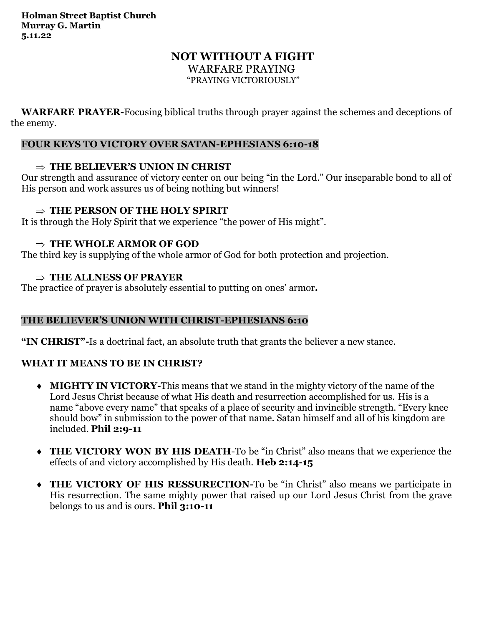# **NOT WITHOUT A FIGHT** WARFARE PRAYING

"PRAYING VICTORIOUSLY"

**WARFARE PRAYER-**Focusing biblical truths through prayer against the schemes and deceptions of the enemy.

### **FOUR KEYS TO VICTORY OVER SATAN-EPHESIANS 6:10-18**

### **THE BELIEVER'S UNION IN CHRIST**

Our strength and assurance of victory center on our being "in the Lord." Our inseparable bond to all of His person and work assures us of being nothing but winners!

### **THE PERSON OF THE HOLY SPIRIT**

It is through the Holy Spirit that we experience "the power of His might".

### $\Rightarrow$  THE WHOLE ARMOR OF GOD

The third key is supplying of the whole armor of God for both protection and projection.

### **THE ALLNESS OF PRAYER**

The practice of prayer is absolutely essential to putting on ones' armor**.** 

## **THE BELIEVER'S UNION WITH CHRIST-EPHESIANS 6:10**

**"IN CHRIST"-**Is a doctrinal fact, an absolute truth that grants the believer a new stance.

## **WHAT IT MEANS TO BE IN CHRIST?**

- **MIGHTY IN VICTORY-**This means that we stand in the mighty victory of the name of the Lord Jesus Christ because of what His death and resurrection accomplished for us. His is a name "above every name" that speaks of a place of security and invincible strength. "Every knee should bow" in submission to the power of that name. Satan himself and all of his kingdom are included. **Phil 2:9-11**
- **THE VICTORY WON BY HIS DEATH**-To be "in Christ" also means that we experience the effects of and victory accomplished by His death. **Heb 2:14-15**
- **THE VICTORY OF HIS RESSURECTION-**To be "in Christ" also means we participate in His resurrection. The same mighty power that raised up our Lord Jesus Christ from the grave belongs to us and is ours. **Phil 3:10-11**